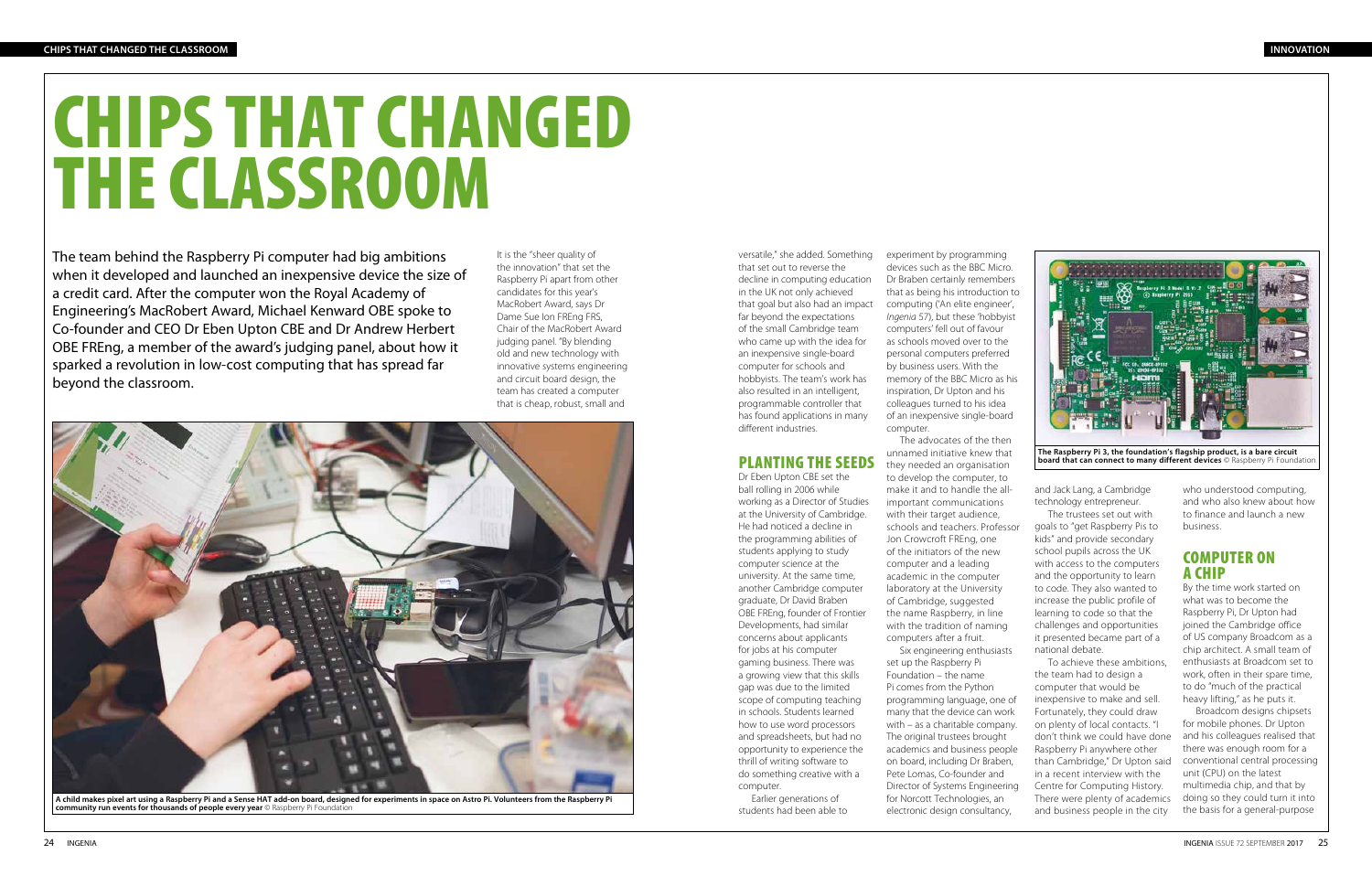

**The Raspberry Pi 3, the foundation's flagship product, is a bare circuit board that can connect to many different devices** © Raspberry Pi Foundatic

# CHIPS THAT CHANGED THE CLASSROOM



**A child makes pixel art using a Raspberry Pi and a Sense HAT add-on board, designed for experiments in space on Astro Pi. Volunteers from the Raspberry Pi community run events for thousands of people every year** © Raspberry Pi Foundation

The team behind the Raspberry Pi computer had big ambitions when it developed and launched an inexpensive device the size of a credit card. After the computer won the Royal Academy of Engineering's MacRobert Award, Michael Kenward OBE spoke to Co-founder and CEO Dr Eben Upton CBE and Dr Andrew Herbert OBE FREng, a member of the award's judging panel, about how it sparked a revolution in low-cost computing that has spread far beyond the classroom.

> and Jack Lang, a Cambridge technology entrepreneur.

The trustees set out with goals to "get Raspberry Pis to kids" and provide secondary school pupils across the UK with access to the computers and the opportunity to learn to code. They also wanted to increase the public profile of learning to code so that the challenges and opportunities it presented became part of a national debate.

To achieve these ambitions, the team had to design a computer that would be inexpensive to make and sell. Fortunately, they could draw on plenty of local contacts. "I don't think we could have done Raspberry Pi anywhere other than Cambridge," Dr Upton said in a recent interview with the Centre for Computing History. There were plenty of academics and business people in the city

who understood computing, and who also knew about how to finance and launch a new business.

## COMPUTER ON A CHIP

By the time work started on what was to become the Raspberry Pi, Dr Upton had joined the Cambridge office of US company Broadcom as a chip architect. A small team of enthusiasts at Broadcom set to work, often in their spare time, to do "much of the practical heavy lifting," as he puts it.

Broadcom designs chipsets for mobile phones. Dr Upton and his colleagues realised that there was enough room for a conventional central processing unit (CPU) on the latest multimedia chip, and that by doing so they could turn it into the basis for a general-purpose

versatile," she added. Something that set out to reverse the decline in computing education in the UK not only achieved that goal but also had an impact far beyond the expectations of the small Cambridge team who came up with the idea for an inexpensive single-board computer for schools and hobbyists. The team's work has also resulted in an intelligent, programmable controller that has found applications in many different industries.

# PLANTING THE SEEDS

Dr Eben Upton CBE set the ball rolling in 2006 while working as a Director of Studies at the University of Cambridge. He had noticed a decline in the programming abilities of students applying to study computer science at the university. At the same time, another Cambridge computer graduate, Dr David Braben OBE FREng, founder of Frontier Developments, had similar concerns about applicants for jobs at his computer gaming business. There was a growing view that this skills gap was due to the limited scope of computing teaching in schools. Students learned how to use word processors and spreadsheets, but had no opportunity to experience the thrill of writing software to do something creative with a computer.

Earlier generations of students had been able to

It is the "sheer quality of the innovation" that set the Raspberry Pi apart from other candidates for this year's MacRobert Award, says Dr Dame Sue Ion FREng FRS, Chair of the MacRobert Award judging panel. "By blending old and new technology with innovative systems engineering and circuit board design, the team has created a computer that is cheap, robust, small and

experiment by programming devices such as the BBC Micro. Dr Braben certainly remembers that as being his introduction to computing ('An elite engineer', *Ingenia* 57), but these 'hobbyist computers' fell out of favour as schools moved over to the personal computers preferred by business users. With the memory of the BBC Micro as his inspiration, Dr Upton and his colleagues turned to his idea of an inexpensive single-board computer. The advocates of the then

unnamed initiative knew that they needed an organisation to develop the computer, to make it and to handle the allimportant communications with their target audience, schools and teachers. Professor Jon Crowcroft FREng, one of the initiators of the new computer and a leading academic in the computer laboratory at the University of Cambridge, suggested the name Raspberry, in line with the tradition of naming computers after a fruit. Six engineering enthusiasts set up the Raspberry Pi Foundation – the name Pi comes from the Python programming language, one of many that the device can work with – as a charitable company. The original trustees brought academics and business people on board, including Dr Braben, Pete Lomas, Co-founder and Director of Systems Engineering for Norcott Technologies, an

electronic design consultancy,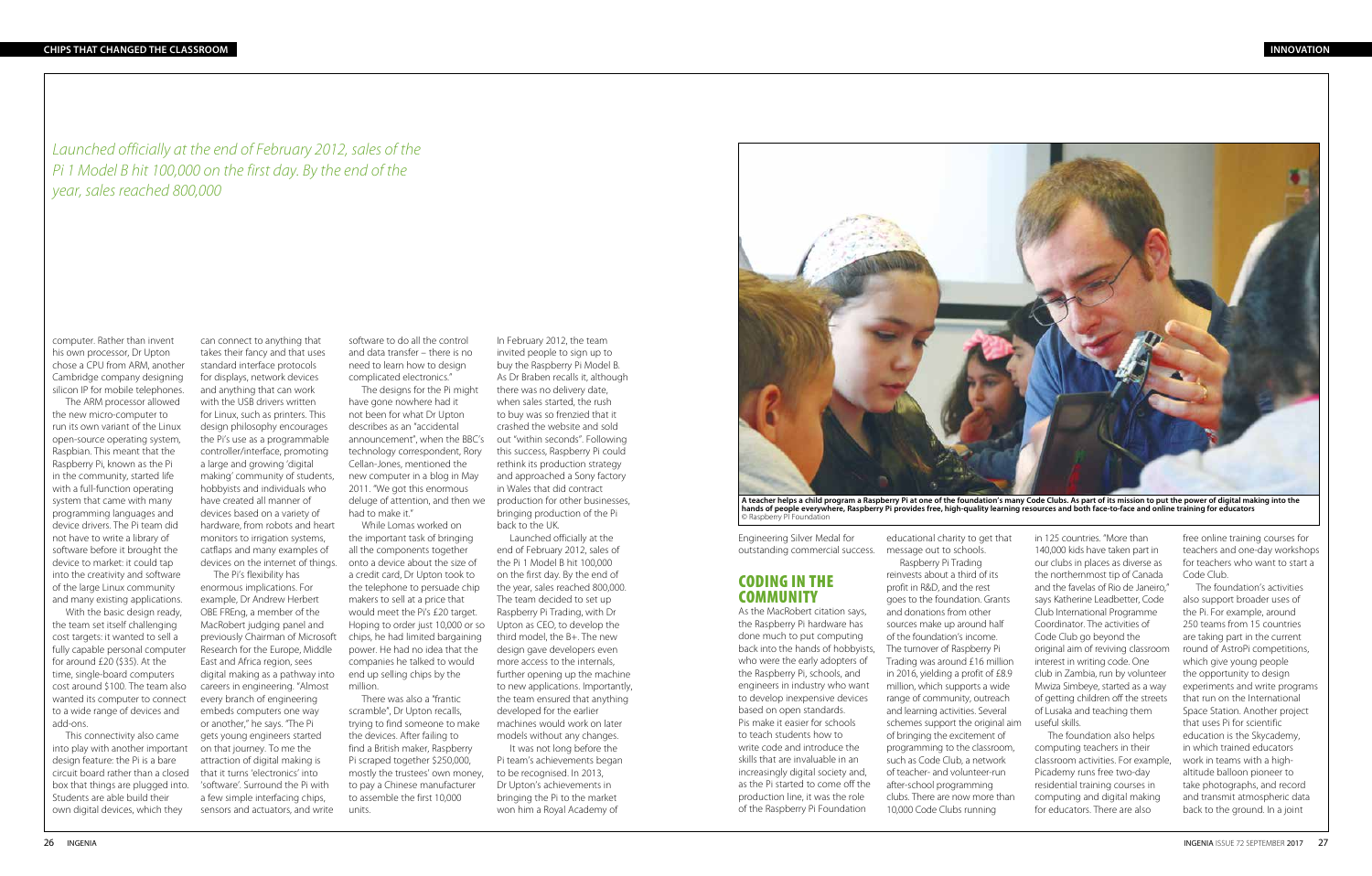computer. Rather than invent his own processor, Dr Upton chose a CPU from ARM, another Cambridge company designing silicon IP for mobile telephones.

The ARM processor allowed the new micro-computer to run its own variant of the Linux open-source operating system, Raspbian. This meant that the Raspberry Pi, known as the Pi in the community, started life with a full-function operating system that came with many programming languages and device drivers. The Pi team did not have to write a library of software before it brought the device to market: it could tap into the creativity and software of the large Linux community and many existing applications.

With the basic design ready, the team set itself challenging cost targets: it wanted to sell a fully capable personal computer for around £20 (\$35). At the time, single-board computers cost around \$100. The team also wanted its computer to connect to a wide range of devices and add-ons.

This connectivity also came into play with another important design feature: the Pi is a bare circuit board rather than a closed box that things are plugged into. Students are able build their own digital devices, which they

can connect to anything that takes their fancy and that uses standard interface protocols for displays, network devices and anything that can work with the USB drivers written for Linux, such as printers. This design philosophy encourages the Pi's use as a programmable controller/interface, promoting a large and growing 'digital making' community of students, hobbyists and individuals who have created all manner of devices based on a variety of hardware, from robots and heart monitors to irrigation systems, catflaps and many examples of devices on the internet of things.

The Pi's flexibility has enormous implications. For example, Dr Andrew Herbert OBE FREng, a member of the MacRobert judging panel and previously Chairman of Microsoft Research for the Europe, Middle East and Africa region, sees digital making as a pathway into careers in engineering. "Almost every branch of engineering embeds computers one way or another," he says. "The Pi gets young engineers started on that journey. To me the attraction of digital making is that it turns 'electronics' into 'software'. Surround the Pi with a few simple interfacing chips, sensors and actuators, and write

### CODING IN THE **COMMUNITY**

software to do all the control and data transfer – there is no need to learn how to design complicated electronics."

The designs for the Pi might have gone nowhere had it not been for what Dr Upton describes as an "accidental announcement", when the BBC's out "within seconds". Following technology correspondent, Rory Cellan-Jones, mentioned the new computer in a blog in May 2011. "We got this enormous deluge of attention, and then we had to make it."

While Lomas worked on the important task of bringing all the components together onto a device about the size of a credit card, Dr Upton took to the telephone to persuade chip makers to sell at a price that would meet the Pi's £20 target. Hoping to order just 10,000 or so chips, he had limited bargaining power. He had no idea that the companies he talked to would end up selling chips by the million.

There was also a "frantic scramble", Dr Upton recalls, trying to find someone to make the devices. After failing to find a British maker, Raspberry Pi scraped together \$250,000, mostly the trustees' own money, to pay a Chinese manufacturer to assemble the first 10,000 units.

In February 2012, the team invited people to sign up to buy the Raspberry Pi Model B. As Dr Braben recalls it, although there was no delivery date, when sales started, the rush to buy was so frenzied that it crashed the website and sold this success, Raspberry Pi could rethink its production strategy and approached a Sony factory in Wales that did contract production for other businesses, bringing production of the Pi back to the UK.

Launched officially at the end of February 2012, sales of the Pi 1 Model B hit 100,000 on the first day. By the end of the year, sales reached 800,000. The team decided to set up Raspberry Pi Trading, with Dr Upton as CEO, to develop the third model, the B+. The new design gave developers even more access to the internals, further opening up the machine to new applications. Importantly, the team ensured that anything developed for the earlier machines would work on later models without any changes.

It was not long before the Pi team's achievements began to be recognised. In 2013, Dr Upton's achievements in bringing the Pi to the market won him a Royal Academy of

Engineering Silver Medal for outstanding commercial success.

As the MacRobert citation says, the Raspberry Pi hardware has done much to put computing back into the hands of hobbyists, who were the early adopters of the Raspberry Pi, schools, and engineers in industry who want to develop inexpensive devices based on open standards. Pis make it easier for schools to teach students how to write code and introduce the skills that are invaluable in an increasingly digital society and, as the Pi started to come off the production line, it was the role of the Raspberry Pi Foundation

educational charity to get that message out to schools. Raspberry Pi Trading reinvests about a third of its profit in R&D, and the rest goes to the foundation. Grants and donations from other sources make up around half of the foundation's income. The turnover of Raspberry Pi Trading was around £16 million in 2016, yielding a profit of £8.9 million, which supports a wide range of community, outreach and learning activities. Several schemes support the original aim of bringing the excitement of programming to the classroom, such as Code Club, a network of teacher- and volunteer-run after-school programming clubs. There are now more than 10,000 Code Clubs running

in 125 countries. "More than 140,000 kids have taken part in our clubs in places as diverse as the northernmost tip of Canada and the favelas of Rio de Janeiro," says Katherine Leadbetter, Code Club International Programme Coordinator. The activities of Code Club go beyond the original aim of reviving classroom interest in writing code. One club in Zambia, run by volunteer Mwiza Simbeye, started as a way of getting children off the streets of Lusaka and teaching them useful skills.

The foundation also helps computing teachers in their classroom activities. For example, Picademy runs free two-day residential training courses in computing and digital making for educators. There are also

free online training courses for teachers and one-day workshops for teachers who want to start a Code Club.

The foundation's activities also support broader uses of the Pi. For example, around 250 teams from 15 countries are taking part in the current round of AstroPi competitions, which give young people the opportunity to design experiments and write programs that run on the International Space Station. Another project that uses Pi for scientific education is the Skycademy, in which trained educators work in teams with a highaltitude balloon pioneer to take photographs, and record and transmit atmospheric data back to the ground. In a joint



**A teacher helps a child program a Raspberry Pi at one of the foundation's many Code Clubs. As part of its mission to put the power of digital making into the hands of people everywhere, Raspberry Pi provides free, high-quality learning resources and both face-to-face and online training for educators**  © Raspberry PI Foundation

*Launched officially at the end of February 2012, sales of the Pi 1 Model B hit 100,000 on the first day. By the end of the year, sales reached 800,000*